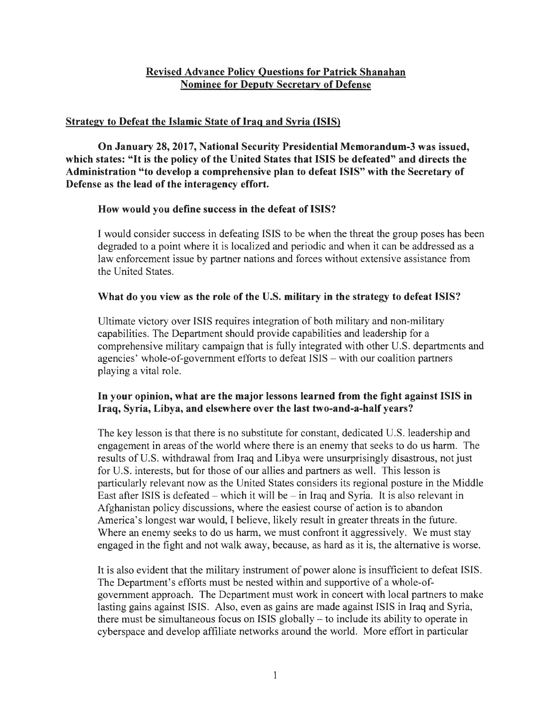# **Revised Advance Policy Questions for Patrick Shanahan Nominee for Deputy Secretary of Defense**

# **Strategy to Defeat the Islamic State of Iraq and Syria {ISIS)**

**On January 28, 2017, National Security Presidential Memorandum-3 was issued, which states:** "It **is the policy of the United States that ISIS be defeated" and directs the Administration "to develop a comprehensive plan to defeat ISIS" with the Secretary of Defense as the lead of the interagency effort.** 

# **How would you define success in the defeat of ISIS?**

I would consider success in defeating ISIS to be when the threat the group poses has been degraded to a point where it is localized and periodic and when it can be addressed as a law enforcement issue by partner nations and forces without extensive assistance from the United States.

# **What do you view as the role of the U.S. military in the strategy to defeat ISIS?**

Ultimate victory over ISIS requires integration of both military and non-military capabilities. The Department should provide capabilities and leadership for a comprehensive military campaign that is fully integrated with other U.S. departments and agencies' whole-of-government efforts to defeat ISIS - with our coalition partners playing a vital role.

# In **your opinion, what are the major lessons learned from the fight against ISIS in Iraq, Syria, Libya, and elsewhere over the last two-and-a-half years?**

The key lesson is that there is no substitute for constant, dedicated U.S. leadership and engagement in areas of the world where there is an enemy that seeks to do us harm. The results of U.S. withdrawal from Iraq and Libya were unsurprisingly disastrous, not just for U.S. interests, but for those of our allies and partners as well. This lesson is particularly relevant now as the United States considers its regional posture in the Middle East after ISIS is defeated – which it will be  $-$  in Iraq and Syria. It is also relevant in Afghanistan policy discussions, where the easiest course of action is to abandon America's longest war would, I believe, likely result in greater threats in the future. Where an enemy seeks to do us harm, we must confront it aggressively. We must stay engaged in the fight and not walk away, because, as hard as it is, the alternative is worse.

It is also evident that the military instrument of power alone is insufficient to defeat ISIS. The Department's efforts must be nested within and supportive of a whole-ofgovemment approach. The Department must work in concert with local partners to make lasting gains against ISIS. Also, even as gains are made against ISIS in Iraq and Syria, there must be simultaneous focus on ISIS globally - to include its ability to operate in cyberspace and develop affiliate networks around the world. More effort in particular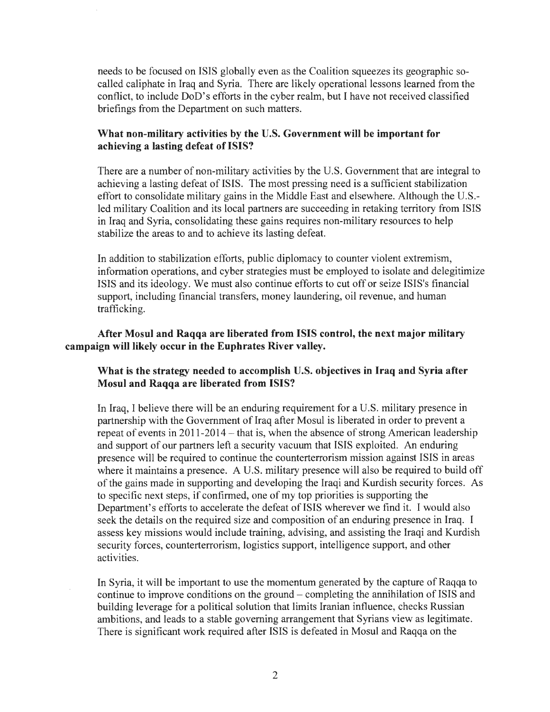needs to be focused on ISIS globally even as the Coalition squeezes its geographic socalled caliphate in Iraq and Syria. There are likely operational lessons learned from the conflict, to include DoD's efforts in the cyber realm, but I have not received classified briefings from the Department on such matters.

#### **What non-military activities by the U.S. Government will be important for achieving a lasting defeat of ISIS?**

There are a number of non-military activities by the U.S. Government that are integral to achieving a lasting defeat of ISIS. The most pressing need is a sufficient stabilization effort to consolidate military gains in the Middle East and elsewhere. Although the U.S. led military Coalition and its local partners are succeeding in retaking territory from ISIS in Iraq and Syria, consolidating these gains requires non-military resources to help stabilize the areas to and to achieve its lasting defeat.

In addition to stabilization efforts, public diplomacy to counter violent extremism, information operations, and cyber strategies must be employed to isolate and delegitimize ISIS and its ideology. We must also continue efforts to cut off or seize ISIS's financial support, including financial transfers, money laundering, oil revenue, and human trafficking.

### **After Mosul and Raqqa are liberated from ISIS control, the next major military campaign will likely occur in the Euphrates River valley.**

### **What is the strategy needed to accomplish U.S. objectives in Iraq and Syria after Mosul and Raqqa are liberated from ISIS?**

In Iraq, I believe there will be an enduring requirement for a U.S. military presence in partnership with the Government of Iraq after Mosul is liberated in order to prevent a repeat of events in 2011-2014 - that is, when the absence of strong American leadership and support of our partners left a security vacuum that ISIS exploited. An enduring presence will be required to continue the counterterrorism mission against ISIS in areas where it maintains a presence. A U.S. military presence will also be required to build off of the gains made in supporting and developing the Iraqi and Kurdish security forces. As to specific next steps, if confirmed, one of my top priorities is supporting the Department's efforts to accelerate the defeat of ISIS wherever we find it. I would also seek the details on the required size and composition of an enduring presence in Iraq. I assess key missions would include training, advising, and assisting the Iraqi and Kurdish security forces, counterterrorism, logistics support, intelligence support, and other activities.

In Syria, it will be important to use the momentum generated by the capture of Raqqa to continue to improve conditions on the ground - completing the annihilation of ISIS and building leverage for a political solution that limits Iranian influence, checks Russian ambitions, and leads to a stable governing arrangement that Syrians view as legitimate. There is significant work required after ISIS is defeated in Mosul and Raqqa on the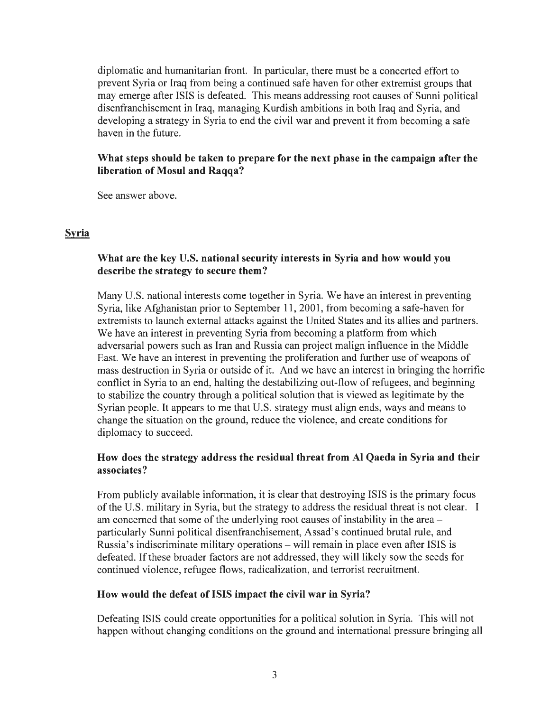diplomatic and humanitarian front. In particular, there must be a concerted effort to prevent Syria or Iraq from being a continued safe haven for other extremist groups that may emerge after ISIS is defeated. This means addressing root causes of Sunni political disenfranchisement in Iraq, managing Kurdish ambitions in both Iraq and Syria, and developing a strategy in Syria to end the civil war and prevent it from becoming a safe haven in the future.

## **What steps should be taken to prepare for the next phase in the campaign after the liberation of Mosul and Raqqa?**

See answer above.

### **Syria**

# **What are the key U.S. national security interests in Syria and how would you describe the strategy to secure them?**

Many U.S. national interests come together in Syria. We have an interest in preventing Syria, like Afghanistan prior to September 11, 2001, from becoming a safe-haven for extremists to launch external attacks against the United States and its allies and partners. We have an interest in preventing Syria from becoming a platform from which adversarial powers such as Iran and Russia can project malign influence in the Middle East. We have an interest in preventing the proliferation and further use of weapons of mass destruction in Syria or outside of it. And we have an interest in bringing the horrific conflict in Syria to an end, halting the destabilizing out-flow of refugees, and beginning to stabilize the country through a political solution that is viewed as legitimate by the Syrian people. It appears to me that U.S. strategy must align ends, ways and means to change the situation on the ground, reduce the violence, and create conditions for diplomacy to succeed.

# **How does the strategy address the residual threat from Al Qaeda in Syria and their associates?**

From publicly available information, it is clear that destroying ISIS is the primary focus of the U.S. military in Syria, but the strategy to address the residual threat is not clear. I am concerned that some of the underlying root causes of instability in the area – particularly Sunni political disenfranchisement, Assad's continued brutal rule, and Russia's indiscriminate military operations - will remain in place even after ISIS is defeated. If these broader factors are not addressed, they will likely sow the seeds for continued violence, refugee flows, radicalization, and terrorist recruitment.

#### **How would the defeat of ISIS impact the civil war in Syria?**

Defeating ISIS could create opportunities for a political solution in Syria. This will not happen without changing conditions on the ground and international pressure bringing all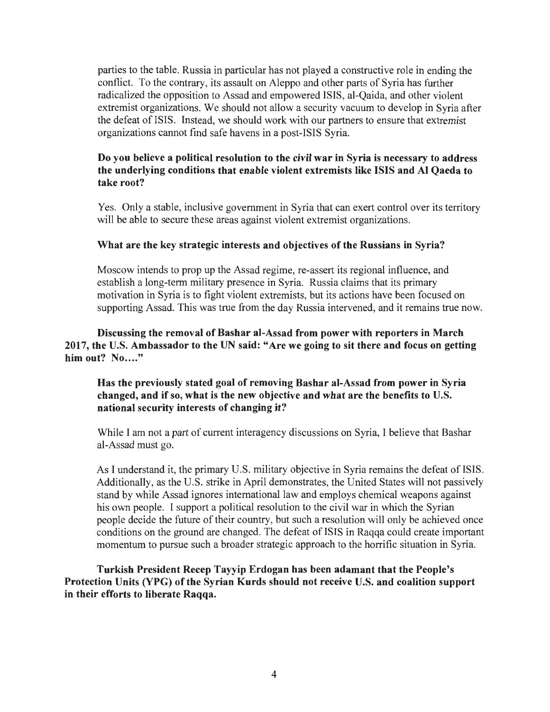parties to the table. Russia in particular has not played a constructive role in ending the conflict. To the contrary, its assault on Aleppo and other parts of Syria has further radicalized the opposition to Assad and empowered ISIS, al-Qaida, and other violent extremist organizations. We should not allow a security vacuum to develop in Syria after the defeat of ISIS. Instead, we should work with our partners to ensure that extremist organizations cannot find safe havens in a post-ISIS Syria.

### **Do you believe a political resolution to the civil war in Syria is necessary to address the underlying conditions that enable violent extremists like ISIS and Al Qaeda to take root?**

Yes. Only a stable, inclusive government in Syria that can exert control over its territory will be able to secure these areas against violent extremist organizations.

### **What are the key strategic interests and objectives of the Russians in Syria?**

Moscow intends to prop up the Assad regime, re-assert its regional influence, and establish a long-term military presence in Syria. Russia claims that its primary motivation in Syria is to fight violent extremists, but its actions have been focused on supporting Assad. This was true from the day Russia intervened, and it remains true now.

### **Discussing the removal of Bashar al-Assad from power with reporters in March 2017, the U.S. Ambassador to the UN said: "Are we going to sit there and focus on getting him out?** No...."

## **Has the previously stated goal of removing Bashar al-Assad from power in Syria changed, and if so, what is the new objective and what are the benefits to U.S. national security interests of changing it?**

While I am not a part of current interagency discussions on Syria, I believe that Bashar al-Assad must go.

As I understand it, the primary U.S. military objective in Syria remains the defeat of ISIS. Additionally, as the U.S. strike in April demonstrates, the United States will not passively stand by while Assad ignores international law and employs chemical weapons against his own people. I support a political resolution to the civil war in which the Syrian people decide the future of their country, but such a resolution will only be achieved once conditions on the ground are changed. The defeat of ISIS in Raqqa could create important momentum to pursue such a broader strategic approach to the horrific situation in Syria.

**Turkish President Recep Tayyip Erdogan has been adamant that the People's Protection Units (YPG) of the Syrian Kurds should not receive U.S. and coalition support in their efforts to liberate Raqqa.**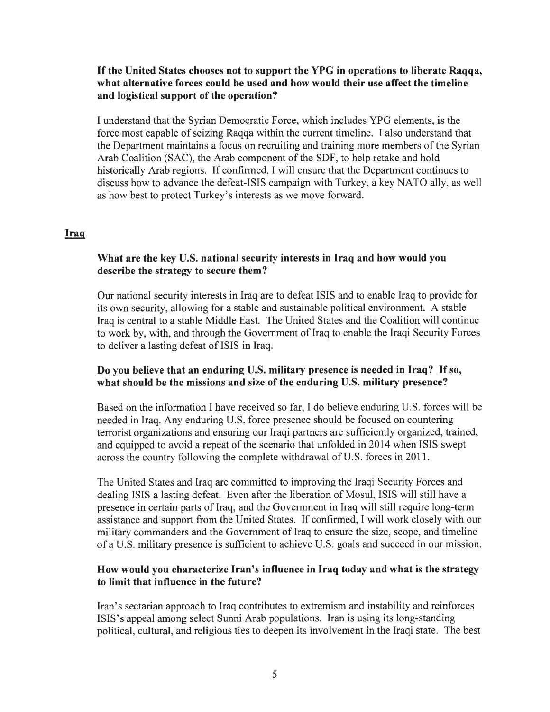### If **the United States chooses not to support the YPG in operations to liberate Raqqa, what alternative forces could be used and how would their use affect the timeline and logistical support of the operation?**

I understand that the Syrian Democratic Force, which includes YPG elements, is the force most capable of seizing Raqqa within the current timeline. I also understand that the Department maintains a focus on recruiting and training more members of the Syrian Arab Coalition (SAC), the Arab component of the SDF, to help retake and hold historically Arab regions. If confirmed, I will ensure that the Department continues to discuss how to advance the defeat-ISIS campaign with Turkey, a key NATO ally, as well as how best to protect Turkey's interests as we move forward.

#### **Iraq**

## **What are the key U.S. national security interests in Iraq and how would you describe the strategy to secure them?**

Our national security interests in Iraq are to defeat ISIS and to enable Iraq to provide for its own security, allowing for a stable and sustainable political environment. A stable Iraq is central to a stable Middle East. The United States and the Coalition will continue to work by, with, and through the Government of Iraq to enable the Iraqi Security Forces to deliver a lasting defeat of ISIS in Iraq.

### **Do you believe that an enduring U.S. military presence is needed in Iraq?** If so, **what should be the missions and size of the enduring U.S. military presence?**

Based on the information I have received so far, I do believe enduring U.S. forces will be needed in Iraq. Any enduring U.S. force presence should be focused on countering terrorist organizations and ensuring our Iraqi partners are sufficiently organized, trained, and equipped to avoid a repeat of the scenario that unfolded in 2014 when ISIS swept across the country following the complete withdrawal of U.S. forces in 2011.

The United States and Iraq are committed to improving the Iraqi Security Forces and dealing ISIS a lasting defeat. Even after the liberation of Mosul, ISIS will still have a presence in certain parts of Iraq, and the Government in Iraq will still require long-term assistance and support from the United States. If confirmed, I will work closely with our military commanders and the Government of Iraq to ensure the size, scope, and timeline of a U.S. military presence is sufficient to achieve U.S. goals and succeed in our mission.

### **How would you characterize Iran's influence in Iraq today and what is the strategy to limit that influence in the future?**

Iran's sectarian approach to Iraq contributes to extremism and instability and reinforces ISIS's appeal among select Sunni Arab populations. Iran is using its long-standing political, cultural, and religious ties to deepen its involvement in the Iraqi state. The best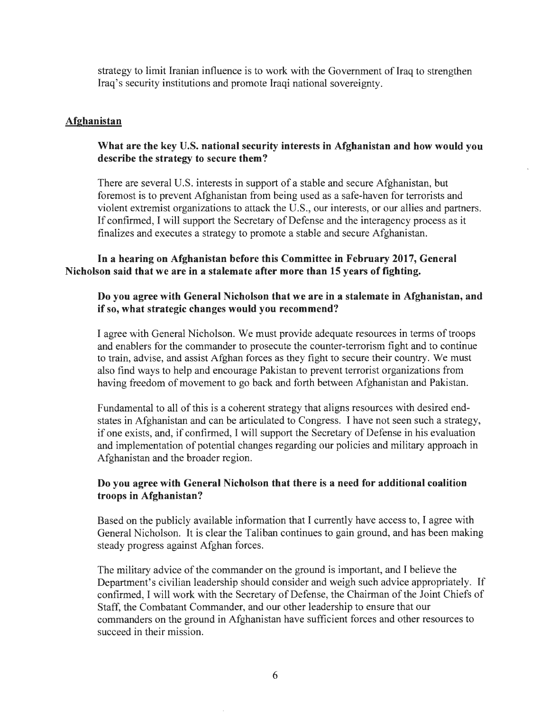strategy to limit Iranian influence is to work with the Government of Iraq to strengthen Iraq's security institutions and promote Iraqi national sovereignty.

#### **Afghanistan**

#### **What are the key U.S. national security interests in Afghanistan and how would you describe the strategy to secure them?**

There are several U.S. interests in support of a stable and secure Afghanistan, but foremost is to prevent Afghanistan from being used as a safe-haven for terrorists and violent extremist organizations to attack the U.S., our interests, or our allies and partners. If confirmed, I will support the Secretary of Defense and the interagency process as it finalizes and executes a strategy to promote a stable and secure Afghanistan.

#### **In a hearing on Afghanistan before this Committee in February 2017, General Nicholson said that we are in a stalemate after more than 15 years of fighting.**

#### **Do you agree with General Nicholson that we are in a stalemate in Afghanistan, and if so, what strategic changes would you recommend?**

I agree with General Nicholson. We must provide adequate resources in terms of troops and enablers for the commander to prosecute the counter-terrorism fight and to continue to train, advise, and assist Afghan forces as they fight to secure their country. We must also find ways to help and encourage Pakistan to prevent terrorist organizations from having freedom of movement to go back and forth between Afghanistan and Pakistan.

Fundamental to all of this is a coherent strategy that aligns resources with desired endstates in Afghanistan and can be articulated to Congress. I have not seen such a strategy, if one exists, and, if confirmed, I will support the Secretary of Defense in his evaluation and implementation of potential changes regarding our policies and military approach in Afghanistan and the broader region.

#### **Do you agree with General Nicholson that there is a need for additional coalition troops in Afghanistan?**

Based on the publicly available information that I currently have access to, I agree with General Nicholson. It is clear the Taliban continues to gain ground, and has been making steady progress against Afghan forces.

The military advice of the commander on the ground is important, and I believe the Department's civilian leadership should consider and weigh such advice appropriately. If confirmed, I will work with the Secretary of Defense, the Chairman of the Joint Chiefs of Staff, the Combatant Commander, and our other leadership to ensure that our commanders on the ground in Afghanistan have sufficient forces and other resources to succeed in their mission.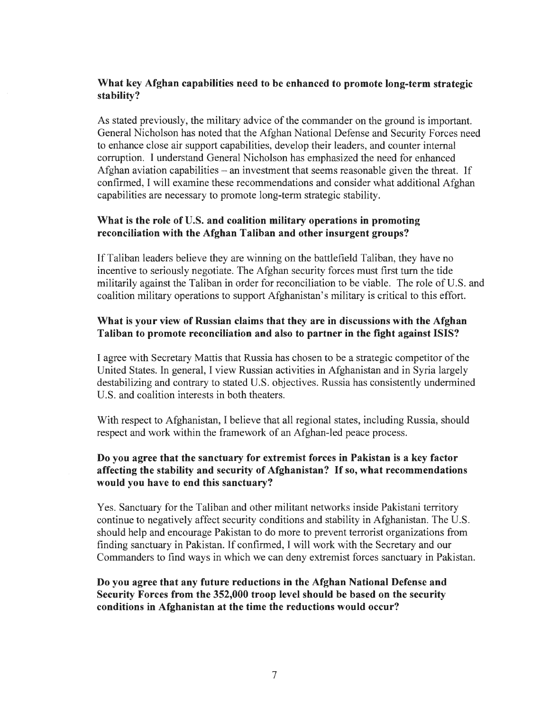### **What key Afghan capabilities need to be enhanced to promote long-term strategic stability?**

As stated previously, the military advice of the commander on the ground is important. General Nicholson has noted that the Afghan National Defense and Security Forces need to enhance close air support capabilities, develop their leaders, and counter internal corruption. I understand General Nicholson has emphasized the need for enhanced Afghan aviation capabilities  $-$  an investment that seems reasonable given the threat. If confirmed, I will examine these recommendations and consider what additional Afghan capabilities are necessary to promote long-term strategic stability.

# **What is the role of U.S. and coalition military operations in promoting reconciliation with the Afghan Taliban and other insurgent groups?**

If Taliban leaders believe they are winning on the battlefield Taliban, they have no incentive to seriously negotiate. The Afghan security forces must first tum the tide militarily against the Taliban in order for reconciliation to be viable. The role of U.S. and coalition military operations to support Afghanistan's military is critical to this effort.

## **What is your view of Russian claims that they are in discussions with the Afghan Taliban to promote reconciliation and also to partner in the fight against ISIS?**

I agree with Secretary Mattis that Russia has chosen to be a strategic competitor of the United States. In general, I view Russian activities in Afghanistan and in Syria largely destabilizing and contrary to stated U.S. objectives. Russia has consistently undermined U.S. and coalition interests in both theaters.

With respect to Afghanistan, I believe that all regional states, including Russia, should respect and work within the framework of an Afghan-led peace process.

### **Do you agree that the sanctuary for extremist forces in Pakistan is a key factor affecting the stability and security of Afghanistan?** If **so, what recommendations would you have to end this sanctuary?**

Yes. Sanctuary for the Taliban and other militant networks inside Pakistani territory continue to negatively affect security conditions and stability in Afghanistan. The U.S. should help and encourage Pakistan to do more to prevent terrorist organizations from finding sanctuary in Pakistan. If confirmed, I will work with the Secretary and our Commanders to find ways in which we can deny extremist forces sanctuary in Pakistan.

### **Do you agree that any future reductions in the Afghan National Defense and Security Forces from the 352,000 troop level should be based on the security conditions in Afghanistan at the time the reductions would occur?**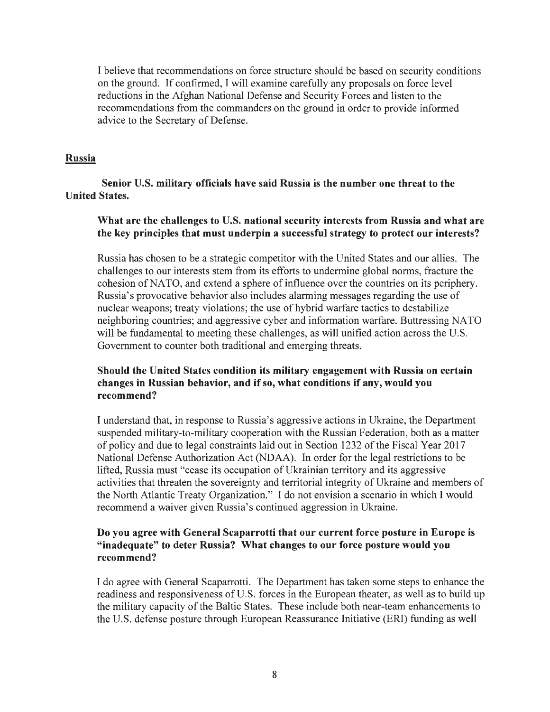I believe that recommendations on force structure should be based on security conditions on the ground. If confirmed, I will examine carefully any proposals on force level reductions in the Afghan National Defense and Security Forces and listen to the recommendations from the commanders on the ground in order to provide informed advice to the Secretary of Defense.

### **Russia**

**Senior U.S. military officials have said Russia is the number one threat to the United States.** 

### **What are the challenges to U.S. national security interests from Russia and what are the key principles that must underpin a successful strategy to protect our interests?**

Russia has chosen to be a strategic competitor with the United States and our allies. The challenges to our interests stem from its efforts to undermine global norms, fracture the cohesion of NATO, and extend a sphere of influence over the countries on its periphery. Russia's provocative behavior also includes alarming messages regarding the use of nuclear weapons; treaty violations; the use of hybrid warfare tactics to destabilize neighboring countries; and aggressive cyber and information warfare. Buttressing NA TO will be fundamental to meeting these challenges, as will unified action across the U.S. Government to counter both traditional and emerging threats.

## **Should the United States condition its military engagement with Russia on certain changes in Russian behavior, and if so, what conditions if any, would you recommend?**

I understand that, in response to Russia's aggressive actions in Ukraine, the Department suspended military-to-military cooperation with the Russian Federation, both as a matter of policy and due to legal constraints laid out in Section 1232 of the Fiscal Year 2017 National Defense Authorization Act (NDAA). In order for the legal restrictions to be lifted, Russia must "cease its occupation of Ukrainian territory and its aggressive activities that threaten the sovereignty and territorial integrity of Ukraine and members of the North Atlantic Treaty Organization." I do not envision a scenario in which I would recommend a waiver given Russia's continued aggression in Ukraine.

## **Do you agree with General Scaparrotti that our current force posture in Europe is "inadequate" to deter Russia? What changes to our force posture would you recommend?** ·

I do agree with General Scaparrotti. The Department has taken some steps to enhance the readiness and responsiveness of U.S. forces in the European theater, as well as to build up the military capacity of the Baltic States. These include both near-team enhancements to the U.S. defense posture through European Reassurance Initiative (ERI) funding as well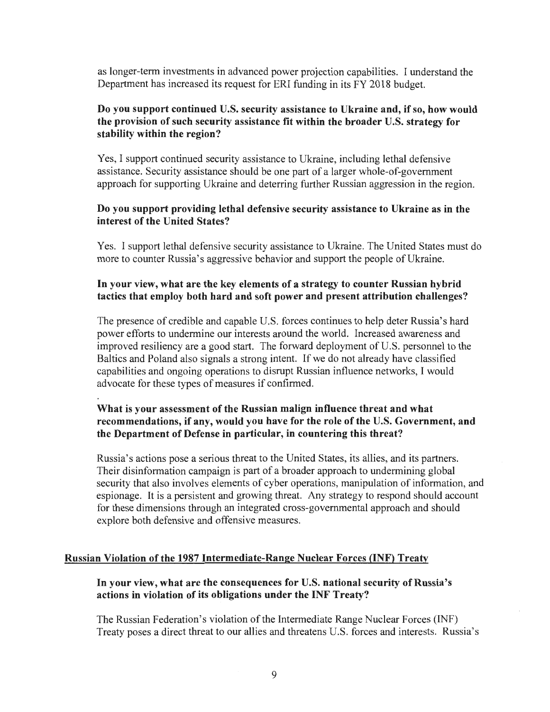as longer-term investments in advanced power projection capabilities. I understand the Department has increased its request for ERi funding in its FY 2018 budget.

### **Do you support continued U.S. security assistance to Ukraine and, if so, how would the provision of such security assistance fit within the broader U.S. strategy for stability within the region?**

Yes, I support continued security assistance to Ukraine, including lethal defensive assistance. Security assistance should be one part of a larger whole-of-government approach for supporting Ukraine and deterring further Russian aggression in the region.

#### **Do you support providing lethal defensive security assistance to Ukraine as in the interest of the United States?**

Yes. I support lethal defensive security assistance to Ukraine. The United States must do more to counter Russia's aggressive behavior and support the people of Ukraine.

### **In your view, what are the key elements of a strategy to counter Russian hybrid tactics that employ both hard and soft power and present attribution challenges?**

The presence of credible and capable U.S. forces continues to help deter Russia's hard power efforts to undermine our interests around the world. Increased awareness and improved resiliency are a good start. The forward deployment of U.S. personnel to the Baltics and Poland also signals a strong intent. If we do not already have classified capabilities and ongoing operations to disrupt Russian influence networks, I would advocate for these types of measures if confirmed.

# **What is your assessment of the Russian malign influence threat and what recommendations, if any, would you have for the role of the U.S. Government, and the Department of Defense in particular, in countering this threat?**

Russia's actions pose a serious threat to the United States, its allies, and its partners. Their disinformation campaign is part of a broader approach to undermining global security that also involves elements of cyber operations, manipulation of information, and espionage. It is a persistent and growing threat. Any strategy to respond should account for these dimensions through an integrated cross-governmental approach and should explore both defensive and offensive measures.

#### **Russian Violation of the 1987 Intermediate-Range Nuclear Forces (INF) Treaty**

### **In your view, what are the consequences for U.S. national security of Russia's actions in violation of its obligations under the INF Treaty?**

The Russian Federation's violation of the Intermediate Range Nuclear Forces (INF) Treaty poses a direct threat to our allies and threatens U.S. forces and interests. Russia's